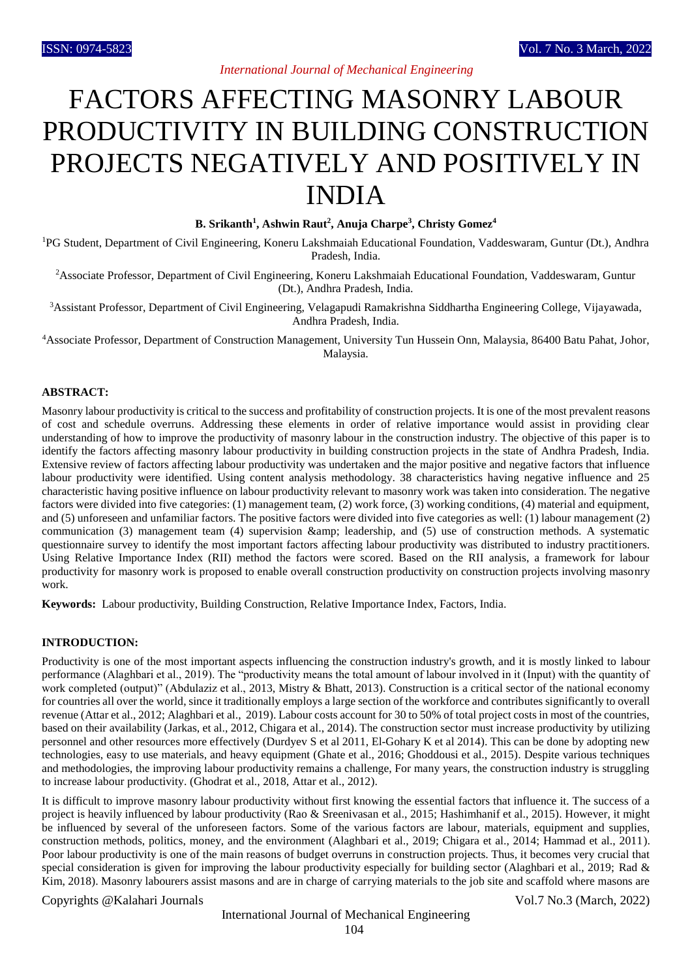# FACTORS AFFECTING MASONRY LABOUR PRODUCTIVITY IN BUILDING CONSTRUCTION PROJECTS NEGATIVELY AND POSITIVELY IN INDIA

**B. Srikanth<sup>1</sup> , Ashwin Raut<sup>2</sup> , Anuja Charpe<sup>3</sup> , Christy Gomez<sup>4</sup>**

<sup>1</sup>PG Student, Department of Civil Engineering, Koneru Lakshmaiah Educational Foundation, Vaddeswaram, Guntur (Dt.), Andhra Pradesh, India.

<sup>2</sup>Associate Professor, Department of Civil Engineering, Koneru Lakshmaiah Educational Foundation, Vaddeswaram, Guntur (Dt.), Andhra Pradesh, India.

<sup>3</sup>Assistant Professor, Department of Civil Engineering, Velagapudi Ramakrishna Siddhartha Engineering College, Vijayawada, Andhra Pradesh, India.

<sup>4</sup>Associate Professor, Department of Construction Management, University Tun Hussein Onn, Malaysia, 86400 Batu Pahat, Johor, Malaysia.

## **ABSTRACT:**

Masonry labour productivity is critical to the success and profitability of construction projects. It is one of the most prevalent reasons of cost and schedule overruns. Addressing these elements in order of relative importance would assist in providing clear understanding of how to improve the productivity of masonry labour in the construction industry. The objective of this paper is to identify the factors affecting masonry labour productivity in building construction projects in the state of Andhra Pradesh, India. Extensive review of factors affecting labour productivity was undertaken and the major positive and negative factors that influence labour productivity were identified. Using content analysis methodology. 38 characteristics having negative influence and 25 characteristic having positive influence on labour productivity relevant to masonry work was taken into consideration. The negative factors were divided into five categories: (1) management team, (2) work force, (3) working conditions, (4) material and equipment, and (5) unforeseen and unfamiliar factors. The positive factors were divided into five categories as well: (1) labour management (2) communication (3) management team (4) supervision  $\&$ ; leadership, and (5) use of construction methods. A systematic questionnaire survey to identify the most important factors affecting labour productivity was distributed to industry practitioners. Using Relative Importance Index (RII) method the factors were scored. Based on the RII analysis, a framework for labour productivity for masonry work is proposed to enable overall construction productivity on construction projects involving masonry work.

**Keywords:** Labour productivity, Building Construction, Relative Importance Index, Factors, India.

#### **INTRODUCTION:**

Productivity is one of the most important aspects influencing the construction industry's growth, and it is mostly linked to labour performance (Alaghbari et al., 2019). The "productivity means the total amount of labour involved in it (Input) with the quantity of work completed (output)" (Abdulaziz et al., 2013, Mistry & Bhatt, 2013). Construction is a critical sector of the national economy for countries all over the world, since it traditionally employs a large section of the workforce and contributes significantly to overall revenue (Attar et al., 2012; Alaghbari et al., 2019). Labour costs account for 30 to 50% of total project costs in most of the countries, based on their availability (Jarkas, et al., 2012, Chigara et al., 2014). The construction sector must increase productivity by utilizing personnel and other resources more effectively (Durdyev S et al 2011, El-Gohary K et al 2014). This can be done by adopting new technologies, easy to use materials, and heavy equipment (Ghate et al., 2016; Ghoddousi et al., 2015). Despite various techniques and methodologies, the improving labour productivity remains a challenge, For many years, the construction industry is struggling to increase labour productivity. (Ghodrat et al., 2018, Attar et al., 2012).

It is difficult to improve masonry labour productivity without first knowing the essential factors that influence it. The success of a project is heavily influenced by labour productivity (Rao & Sreenivasan et al., 2015; Hashimhanif et al., 2015). However, it might be influenced by several of the unforeseen factors. Some of the various factors are labour, materials, equipment and supplies, construction methods, politics, money, and the environment (Alaghbari et al., 2019; Chigara et al., 2014; Hammad et al., 2011). Poor labour productivity is one of the main reasons of budget overruns in construction projects. Thus, it becomes very crucial that special consideration is given for improving the labour productivity especially for building sector (Alaghbari et al., 2019; Rad & Kim, 2018). Masonry labourers assist masons and are in charge of carrying materials to the job site and scaffold where masons are

Copyrights @Kalahari Journals Vol.7 No.3 (March, 2022)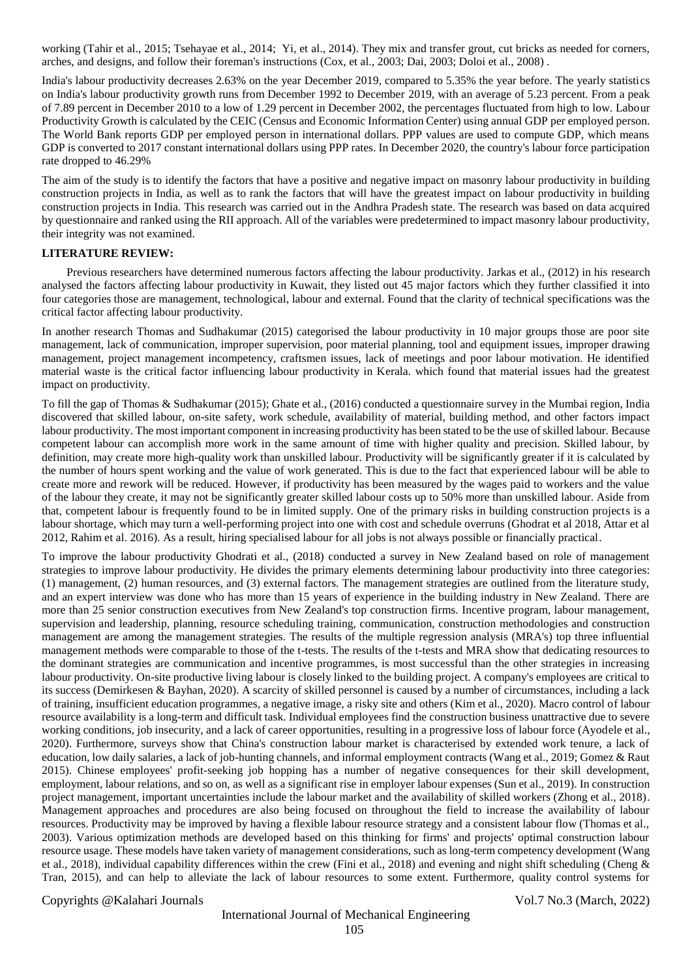working (Tahir et al., 2015; Tsehayae et al., 2014; Yi, et al., 2014). They mix and transfer grout, cut bricks as needed for corners, arches, and designs, and follow their foreman's instructions (Cox, et al., 2003; Dai, 2003; Doloi et al., 2008) .

India's labour productivity decreases 2.63% on the year December 2019, compared to 5.35% the year before. The yearly statistics on India's labour productivity growth runs from December 1992 to December 2019, with an average of 5.23 percent. From a peak of 7.89 percent in December 2010 to a low of 1.29 percent in December 2002, the percentages fluctuated from high to low. Labour Productivity Growth is calculated by the CEIC (Census and Economic Information Center) using annual GDP per employed person. The World Bank reports GDP per employed person in international dollars. PPP values are used to compute GDP, which means GDP is converted to 2017 constant international dollars using PPP rates. In December 2020, the country's labour force participation rate dropped to 46.29%

The aim of the study is to identify the factors that have a positive and negative impact on masonry labour productivity in building construction projects in India, as well as to rank the factors that will have the greatest impact on labour productivity in building construction projects in India. This research was carried out in the Andhra Pradesh state. The research was based on data acquired by questionnaire and ranked using the RII approach. All of the variables were predetermined to impact masonry labour productivity, their integrity was not examined.

#### **LITERATURE REVIEW:**

Previous researchers have determined numerous factors affecting the labour productivity. Jarkas et al., (2012) in his research analysed the factors affecting labour productivity in Kuwait, they listed out 45 major factors which they further classified it into four categories those are management, technological, labour and external. Found that the clarity of technical specifications was the critical factor affecting labour productivity.

In another research Thomas and Sudhakumar (2015) categorised the labour productivity in 10 major groups those are poor site management, lack of communication, improper supervision, poor material planning, tool and equipment issues, improper drawing management, project management incompetency, craftsmen issues, lack of meetings and poor labour motivation. He identified material waste is the critical factor influencing labour productivity in Kerala. which found that material issues had the greatest impact on productivity.

To fill the gap of Thomas & Sudhakumar (2015); Ghate et al., (2016) conducted a questionnaire survey in the Mumbai region, India discovered that skilled labour, on-site safety, work schedule, availability of material, building method, and other factors impact labour productivity. The most important component in increasing productivity has been stated to be the use of skilled labour. Because competent labour can accomplish more work in the same amount of time with higher quality and precision. Skilled labour, by definition, may create more high-quality work than unskilled labour. Productivity will be significantly greater if it is calculated by the number of hours spent working and the value of work generated. This is due to the fact that experienced labour will be able to create more and rework will be reduced. However, if productivity has been measured by the wages paid to workers and the value of the labour they create, it may not be significantly greater skilled labour costs up to 50% more than unskilled labour. Aside from that, competent labour is frequently found to be in limited supply. One of the primary risks in building construction projects is a labour shortage, which may turn a well-performing project into one with cost and schedule overruns (Ghodrat et al 2018, Attar et al 2012, Rahim et al. 2016). As a result, hiring specialised labour for all jobs is not always possible or financially practical.

To improve the labour productivity Ghodrati et al., (2018) conducted a survey in New Zealand based on role of management strategies to improve labour productivity. He divides the primary elements determining labour productivity into three categories: (1) management, (2) human resources, and (3) external factors. The management strategies are outlined from the literature study, and an expert interview was done who has more than 15 years of experience in the building industry in New Zealand. There are more than 25 senior construction executives from New Zealand's top construction firms. Incentive program, labour management, supervision and leadership, planning, resource scheduling training, communication, construction methodologies and construction management are among the management strategies. The results of the multiple regression analysis (MRA's) top three influential management methods were comparable to those of the t-tests. The results of the t-tests and MRA show that dedicating resources to the dominant strategies are communication and incentive programmes, is most successful than the other strategies in increasing labour productivity. On-site productive living labour is closely linked to the building project. A company's employees are critical to its success (Demirkesen & Bayhan, 2020). A scarcity of skilled personnel is caused by a number of circumstances, including a lack of training, insufficient education programmes, a negative image, a risky site and others (Kim et al., 2020). Macro control of labour resource availability is a long-term and difficult task. Individual employees find the construction business unattractive due to severe working conditions, job insecurity, and a lack of career opportunities, resulting in a progressive loss of labour force (Ayodele et al., 2020). Furthermore, surveys show that China's construction labour market is characterised by extended work tenure, a lack of education, low daily salaries, a lack of job-hunting channels, and informal employment contracts (Wang et al., 2019; Gomez & Raut 2015). Chinese employees' profit-seeking job hopping has a number of negative consequences for their skill development, employment, labour relations, and so on, as well as a significant rise in employer labour expenses (Sun et al., 2019). In construction project management, important uncertainties include the labour market and the availability of skilled workers (Zhong et al., 2018). Management approaches and procedures are also being focused on throughout the field to increase the availability of labour resources. Productivity may be improved by having a flexible labour resource strategy and a consistent labour flow (Thomas et al., 2003). Various optimization methods are developed based on this thinking for firms' and projects' optimal construction labour resource usage. These models have taken variety of management considerations, such as long-term competency development (Wang et al., 2018), individual capability differences within the crew (Fini et al., 2018) and evening and night shift scheduling (Cheng & Tran, 2015), and can help to alleviate the lack of labour resources to some extent. Furthermore, quality control systems for

Copyrights @Kalahari Journals Vol.7 No.3 (March, 2022)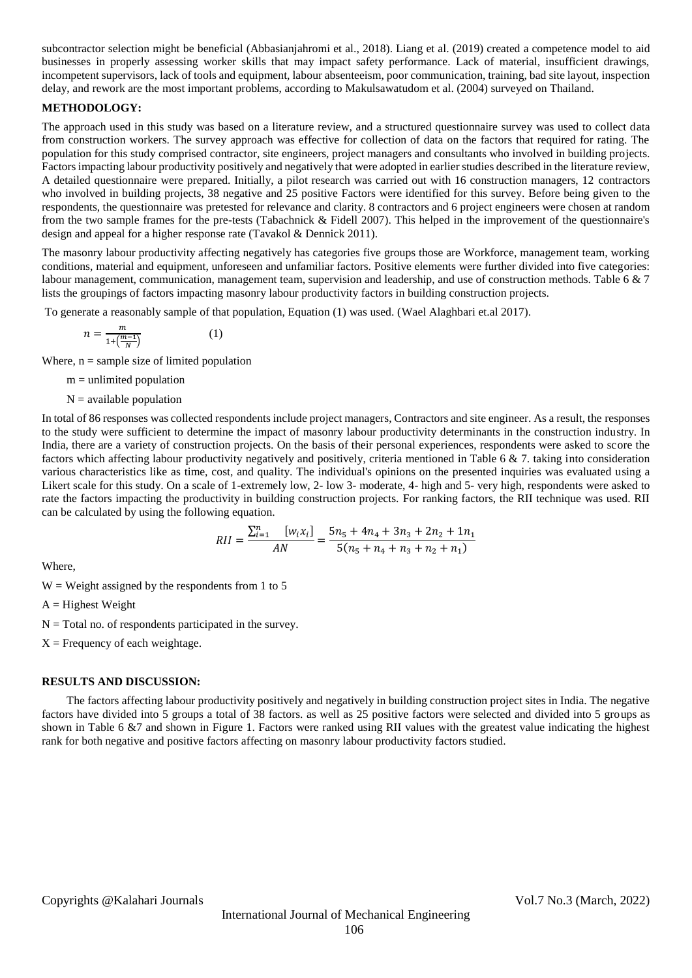subcontractor selection might be beneficial (Abbasianjahromi et al., 2018). Liang et al. (2019) created a competence model to aid businesses in properly assessing worker skills that may impact safety performance. Lack of material, insufficient drawings, incompetent supervisors, lack of tools and equipment, labour absenteeism, poor communication, training, bad site layout, inspection delay, and rework are the most important problems, according to Makulsawatudom et al. (2004) surveyed on Thailand.

## **METHODOLOGY:**

The approach used in this study was based on a literature review, and a structured questionnaire survey was used to collect data from construction workers. The survey approach was effective for collection of data on the factors that required for rating. The population for this study comprised contractor, site engineers, project managers and consultants who involved in building projects. Factors impacting labour productivity positively and negatively that were adopted in earlier studies described in the literature review, A detailed questionnaire were prepared. Initially, a pilot research was carried out with 16 construction managers, 12 contractors who involved in building projects, 38 negative and 25 positive Factors were identified for this survey. Before being given to the respondents, the questionnaire was pretested for relevance and clarity. 8 contractors and 6 project engineers were chosen at random from the two sample frames for the pre-tests (Tabachnick & Fidell 2007). This helped in the improvement of the questionnaire's design and appeal for a higher response rate (Tavakol & Dennick 2011).

The masonry labour productivity affecting negatively has categories five groups those are Workforce, management team, working conditions, material and equipment, unforeseen and unfamiliar factors. Positive elements were further divided into five categories: labour management, communication, management team, supervision and leadership, and use of construction methods. Table 6 & 7 lists the groupings of factors impacting masonry labour productivity factors in building construction projects.

To generate a reasonably sample of that population, Equation (1) was used. (Wael Alaghbari et.al 2017).

$$
t = \frac{m}{1 + \left(\frac{m-1}{N}\right)}\tag{1}
$$

Where,  $n =$  sample size of limited population

 $m =$  unlimited population

 $\mathbf{r}$ 

 $N =$  available population

In total of 86 responses was collected respondents include project managers, Contractors and site engineer. As a result, the responses to the study were sufficient to determine the impact of masonry labour productivity determinants in the construction industry. In India, there are a variety of construction projects. On the basis of their personal experiences, respondents were asked to score the factors which affecting labour productivity negatively and positively, criteria mentioned in Table 6 & 7. taking into consideration various characteristics like as time, cost, and quality. The individual's opinions on the presented inquiries was evaluated using a Likert scale for this study. On a scale of 1-extremely low, 2- low 3- moderate, 4- high and 5- very high, respondents were asked to rate the factors impacting the productivity in building construction projects. For ranking factors, the RII technique was used. RII can be calculated by using the following equation.

$$
RII = \frac{\sum_{i=1}^{n} [w_i x_i]}{AN} = \frac{5n_5 + 4n_4 + 3n_3 + 2n_2 + 1n_1}{5(n_5 + n_4 + n_3 + n_2 + n_1)}
$$

Where,

 $W = Weight$  assigned by the respondents from 1 to 5

 $A =$  Highest Weight

 $N =$  Total no. of respondents participated in the survey.

 $X =$  Frequency of each weightage.

#### **RESULTS AND DISCUSSION:**

The factors affecting labour productivity positively and negatively in building construction project sites in India. The negative factors have divided into 5 groups a total of 38 factors. as well as 25 positive factors were selected and divided into 5 groups as shown in Table 6 &7 and shown in Figure 1. Factors were ranked using RII values with the greatest value indicating the highest rank for both negative and positive factors affecting on masonry labour productivity factors studied.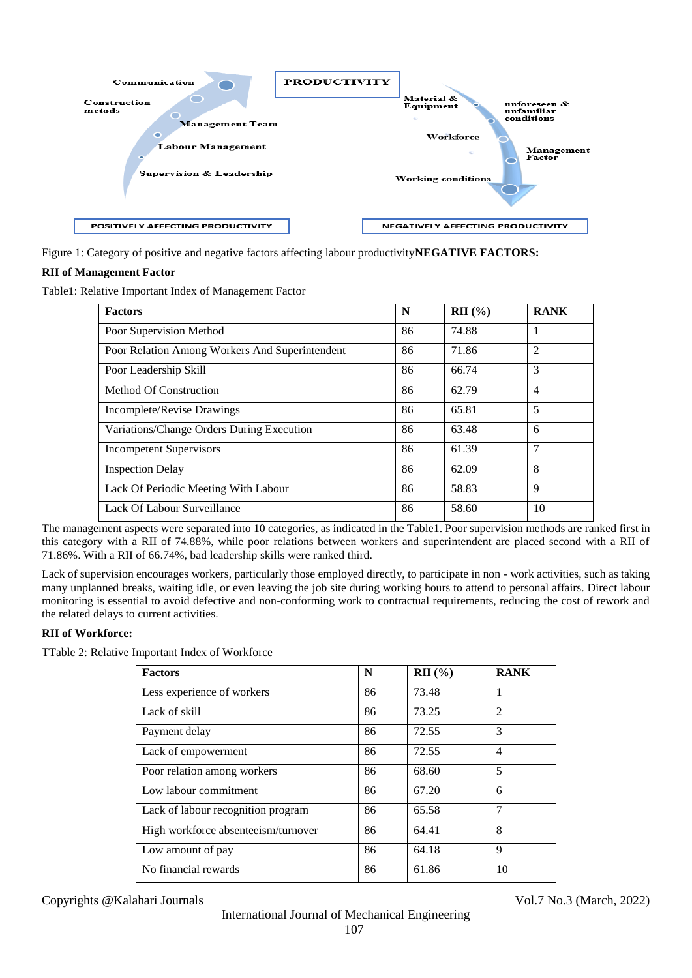

Figure 1: Category of positive and negative factors affecting labour productivity**NEGATIVE FACTORS:**

## **RII of Management Factor**

Table1: Relative Important Index of Management Factor

| <b>Factors</b>                                 | N  | $\mathbf{RII}$ (%) | <b>RANK</b>    |
|------------------------------------------------|----|--------------------|----------------|
| Poor Supervision Method                        | 86 | 74.88              |                |
| Poor Relation Among Workers And Superintendent | 86 | 71.86              | $\overline{2}$ |
| Poor Leadership Skill                          | 86 | 66.74              | 3              |
| Method Of Construction                         | 86 | 62.79              | $\overline{4}$ |
| Incomplete/Revise Drawings                     | 86 | 65.81              | 5              |
| Variations/Change Orders During Execution      | 86 | 63.48              | 6              |
| <b>Incompetent Supervisors</b>                 | 86 | 61.39              | 7              |
| <b>Inspection Delay</b>                        | 86 | 62.09              | 8              |
| Lack Of Periodic Meeting With Labour           | 86 | 58.83              | 9              |
| Lack Of Labour Surveillance                    | 86 | 58.60              | 10             |

The management aspects were separated into 10 categories, as indicated in the Table1. Poor supervision methods are ranked first in this category with a RII of 74.88%, while poor relations between workers and superintendent are placed second with a RII of 71.86%. With a RII of 66.74%, bad leadership skills were ranked third.

Lack of supervision encourages workers, particularly those employed directly, to participate in non - work activities, such as taking many unplanned breaks, waiting idle, or even leaving the job site during working hours to attend to personal affairs. Direct labour monitoring is essential to avoid defective and non-conforming work to contractual requirements, reducing the cost of rework and the related delays to current activities.

## **RII of Workforce:**

TTable 2: Relative Important Index of Workforce

| <b>Factors</b>                      | N  | $\mathbf{RII}$ (%) | <b>RANK</b>    |
|-------------------------------------|----|--------------------|----------------|
| Less experience of workers          | 86 | 73.48              |                |
| Lack of skill                       | 86 | 73.25              | $\overline{2}$ |
| Payment delay                       | 86 | 72.55              | 3              |
| Lack of empowerment                 | 86 | 72.55              | $\overline{4}$ |
| Poor relation among workers         | 86 | 68.60              | 5              |
| Low labour commitment               | 86 | 67.20              | 6              |
| Lack of labour recognition program  | 86 | 65.58              | $\overline{7}$ |
| High workforce absenteeism/turnover | 86 | 64.41              | 8              |
| Low amount of pay                   | 86 | 64.18              | 9              |
| No financial rewards                | 86 | 61.86              | 10             |

Copyrights @Kalahari Journals Vol.7 No.3 (March, 2022)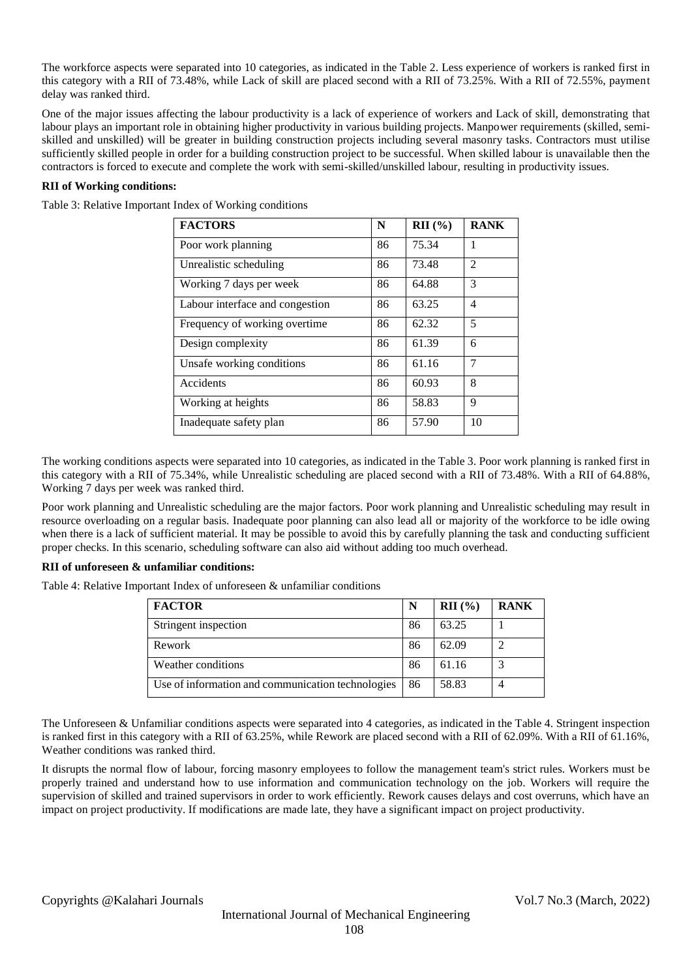The workforce aspects were separated into 10 categories, as indicated in the Table 2. Less experience of workers is ranked first in this category with a RII of 73.48%, while Lack of skill are placed second with a RII of 73.25%. With a RII of 72.55%, payment delay was ranked third.

One of the major issues affecting the labour productivity is a lack of experience of workers and Lack of skill, demonstrating that labour plays an important role in obtaining higher productivity in various building projects. Manpower requirements (skilled, semiskilled and unskilled) will be greater in building construction projects including several masonry tasks. Contractors must utilise sufficiently skilled people in order for a building construction project to be successful. When skilled labour is unavailable then the contractors is forced to execute and complete the work with semi-skilled/unskilled labour, resulting in productivity issues.

## **RII of Working conditions:**

Table 3: Relative Important Index of Working conditions

| <b>FACTORS</b>                  | N  | RII(%) | <b>RANK</b>    |
|---------------------------------|----|--------|----------------|
| Poor work planning              | 86 | 75.34  | 1              |
| Unrealistic scheduling          | 86 | 73.48  | $\mathfrak{D}$ |
| Working 7 days per week         | 86 | 64.88  | 3              |
| Labour interface and congestion | 86 | 63.25  | $\overline{4}$ |
| Frequency of working overtime   | 86 | 62.32  | 5              |
| Design complexity               | 86 | 61.39  | 6              |
| Unsafe working conditions       | 86 | 61.16  | 7              |
| Accidents                       | 86 | 60.93  | 8              |
| Working at heights              | 86 | 58.83  | 9              |
| Inadequate safety plan          | 86 | 57.90  | 10             |

The working conditions aspects were separated into 10 categories, as indicated in the Table 3. Poor work planning is ranked first in this category with a RII of 75.34%, while Unrealistic scheduling are placed second with a RII of 73.48%. With a RII of 64.88%, Working 7 days per week was ranked third.

Poor work planning and Unrealistic scheduling are the major factors. Poor work planning and Unrealistic scheduling may result in resource overloading on a regular basis. Inadequate poor planning can also lead all or majority of the workforce to be idle owing when there is a lack of sufficient material. It may be possible to avoid this by carefully planning the task and conducting sufficient proper checks. In this scenario, scheduling software can also aid without adding too much overhead.

#### **RII of unforeseen & unfamiliar conditions:**

Table 4: Relative Important Index of unforeseen & unfamiliar conditions

| <b>FACTOR</b>                                     | N  | RII(%) | <b>RANK</b> |
|---------------------------------------------------|----|--------|-------------|
| Stringent inspection                              | 86 | 63.25  |             |
| Rework                                            | 86 | 62.09  |             |
| Weather conditions                                | 86 | 61.16  |             |
| Use of information and communication technologies | 86 | 58.83  |             |

The Unforeseen & Unfamiliar conditions aspects were separated into 4 categories, as indicated in the Table 4. Stringent inspection is ranked first in this category with a RII of 63.25%, while Rework are placed second with a RII of 62.09%. With a RII of 61.16%, Weather conditions was ranked third.

It disrupts the normal flow of labour, forcing masonry employees to follow the management team's strict rules. Workers must be properly trained and understand how to use information and communication technology on the job. Workers will require the supervision of skilled and trained supervisors in order to work efficiently. Rework causes delays and cost overruns, which have an impact on project productivity. If modifications are made late, they have a significant impact on project productivity.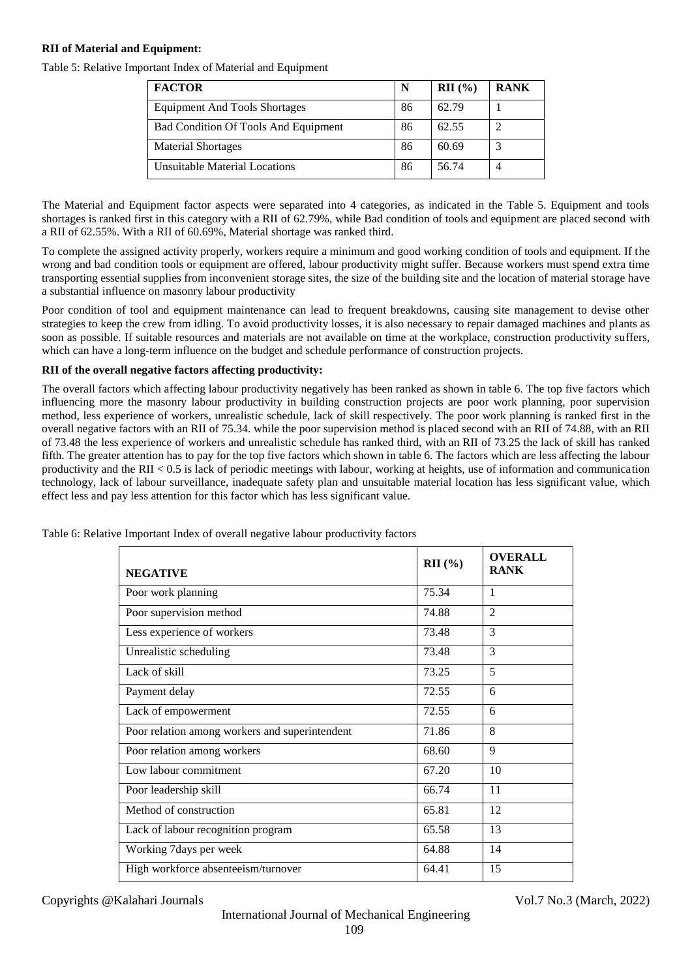#### **RII of Material and Equipment:**

Table 5: Relative Important Index of Material and Equipment

| <b>FACTOR</b>                        | N  | $RII$ (%) | <b>RANK</b> |
|--------------------------------------|----|-----------|-------------|
| <b>Equipment And Tools Shortages</b> | 86 | 62.79     |             |
| Bad Condition Of Tools And Equipment | 86 | 62.55     |             |
| <b>Material Shortages</b>            | 86 | 60.69     |             |
| Unsuitable Material Locations        | 86 | 56.74     |             |

The Material and Equipment factor aspects were separated into 4 categories, as indicated in the Table 5. Equipment and tools shortages is ranked first in this category with a RII of 62.79%, while Bad condition of tools and equipment are placed second with a RII of 62.55%. With a RII of 60.69%, Material shortage was ranked third.

To complete the assigned activity properly, workers require a minimum and good working condition of tools and equipment. If the wrong and bad condition tools or equipment are offered, labour productivity might suffer. Because workers must spend extra time transporting essential supplies from inconvenient storage sites, the size of the building site and the location of material storage have a substantial influence on masonry labour productivity

Poor condition of tool and equipment maintenance can lead to frequent breakdowns, causing site management to devise other strategies to keep the crew from idling. To avoid productivity losses, it is also necessary to repair damaged machines and plants as soon as possible. If suitable resources and materials are not available on time at the workplace, construction productivity suffers, which can have a long-term influence on the budget and schedule performance of construction projects.

#### **RII of the overall negative factors affecting productivity:**

The overall factors which affecting labour productivity negatively has been ranked as shown in table 6. The top five factors which influencing more the masonry labour productivity in building construction projects are poor work planning, poor supervision method, less experience of workers, unrealistic schedule, lack of skill respectively. The poor work planning is ranked first in the overall negative factors with an RII of 75.34. while the poor supervision method is placed second with an RII of 74.88, with an RII of 73.48 the less experience of workers and unrealistic schedule has ranked third, with an RII of 73.25 the lack of skill has ranked fifth. The greater attention has to pay for the top five factors which shown in table 6. The factors which are less affecting the labour productivity and the RII  $< 0.5$  is lack of periodic meetings with labour, working at heights, use of information and communication technology, lack of labour surveillance, inadequate safety plan and unsuitable material location has less significant value, which effect less and pay less attention for this factor which has less significant value.

| <b>NEGATIVE</b>                                | $RII$ (%) | <b>OVERALL</b><br><b>RANK</b> |
|------------------------------------------------|-----------|-------------------------------|
| Poor work planning                             | 75.34     | $\mathbf{1}$                  |
| Poor supervision method                        | 74.88     | $\mathfrak{D}$                |
| Less experience of workers                     | 73.48     | 3                             |
| Unrealistic scheduling                         | 73.48     | 3                             |
| Lack of skill                                  | 73.25     | 5                             |
| Payment delay                                  | 72.55     | 6                             |
| Lack of empowerment                            | 72.55     | 6                             |
| Poor relation among workers and superintendent | 71.86     | 8                             |
| Poor relation among workers                    | 68.60     | 9                             |
| Low labour commitment                          | 67.20     | 10                            |
| Poor leadership skill                          | 66.74     | 11                            |
| Method of construction                         | 65.81     | 12                            |
| Lack of labour recognition program             | 65.58     | 13                            |
| Working 7days per week                         | 64.88     | 14                            |
| High workforce absenteeism/turnover            | 64.41     | 15                            |

Table 6: Relative Important Index of overall negative labour productivity factors

Copyrights @Kalahari Journals Vol.7 No.3 (March, 2022)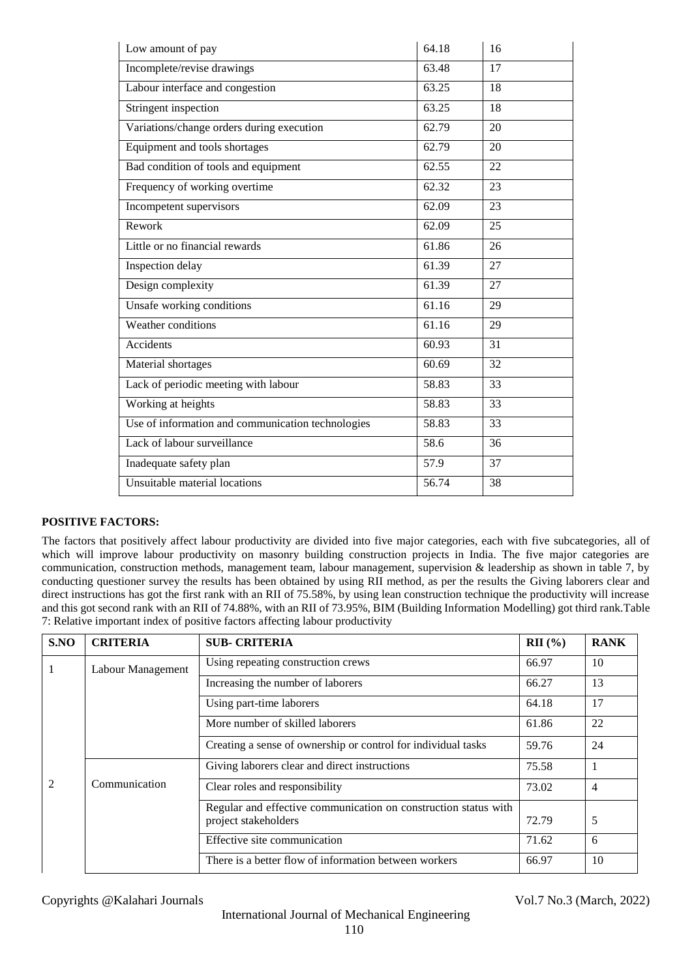| Low amount of pay                                 | 64.18 | 16 |
|---------------------------------------------------|-------|----|
| Incomplete/revise drawings                        | 63.48 | 17 |
| Labour interface and congestion                   | 63.25 | 18 |
| Stringent inspection                              | 63.25 | 18 |
| Variations/change orders during execution         | 62.79 | 20 |
| Equipment and tools shortages                     | 62.79 | 20 |
| Bad condition of tools and equipment              | 62.55 | 22 |
| Frequency of working overtime                     | 62.32 | 23 |
| Incompetent supervisors                           | 62.09 | 23 |
| Rework                                            | 62.09 | 25 |
| Little or no financial rewards                    | 61.86 | 26 |
| Inspection delay                                  | 61.39 | 27 |
| Design complexity                                 | 61.39 | 27 |
| Unsafe working conditions                         | 61.16 | 29 |
| Weather conditions                                | 61.16 | 29 |
| Accidents                                         | 60.93 | 31 |
| Material shortages                                | 60.69 | 32 |
| Lack of periodic meeting with labour              | 58.83 | 33 |
| Working at heights                                | 58.83 | 33 |
| Use of information and communication technologies | 58.83 | 33 |
| Lack of labour surveillance                       | 58.6  | 36 |
| Inadequate safety plan                            | 57.9  | 37 |
| Unsuitable material locations                     | 56.74 | 38 |

#### **POSITIVE FACTORS:**

The factors that positively affect labour productivity are divided into five major categories, each with five subcategories, all of which will improve labour productivity on masonry building construction projects in India. The five major categories are communication, construction methods, management team, labour management, supervision & leadership as shown in table 7, by conducting questioner survey the results has been obtained by using RII method, as per the results the Giving laborers clear and direct instructions has got the first rank with an RII of 75.58%, by using lean construction technique the productivity will increase and this got second rank with an RII of 74.88%, with an RII of 73.95%, BIM (Building Information Modelling) got third rank.Table 7: Relative important index of positive factors affecting labour productivity

| S.NO | <b>CRITERIA</b>                   | <b>SUB- CRITERIA</b>                                                                    | $RII$ (%) | <b>RANK</b> |
|------|-----------------------------------|-----------------------------------------------------------------------------------------|-----------|-------------|
|      | Labour Management                 | Using repeating construction crews                                                      | 66.97     | 10          |
|      | Increasing the number of laborers |                                                                                         | 66.27     | 13          |
|      |                                   | Using part-time laborers                                                                | 64.18     | 17          |
|      |                                   | More number of skilled laborers                                                         | 61.86     | 22          |
|      |                                   | Creating a sense of ownership or control for individual tasks                           | 59.76     | 24          |
|      |                                   | Giving laborers clear and direct instructions                                           | 75.58     |             |
|      | Communication                     | Clear roles and responsibility                                                          | 73.02     | 4           |
|      |                                   | Regular and effective communication on construction status with<br>project stakeholders | 72.79     | 5           |
|      |                                   | Effective site communication                                                            | 71.62     | 6           |
|      |                                   | There is a better flow of information between workers                                   | 66.97     | 10          |

Copyrights @Kalahari Journals Vol.7 No.3 (March, 2022)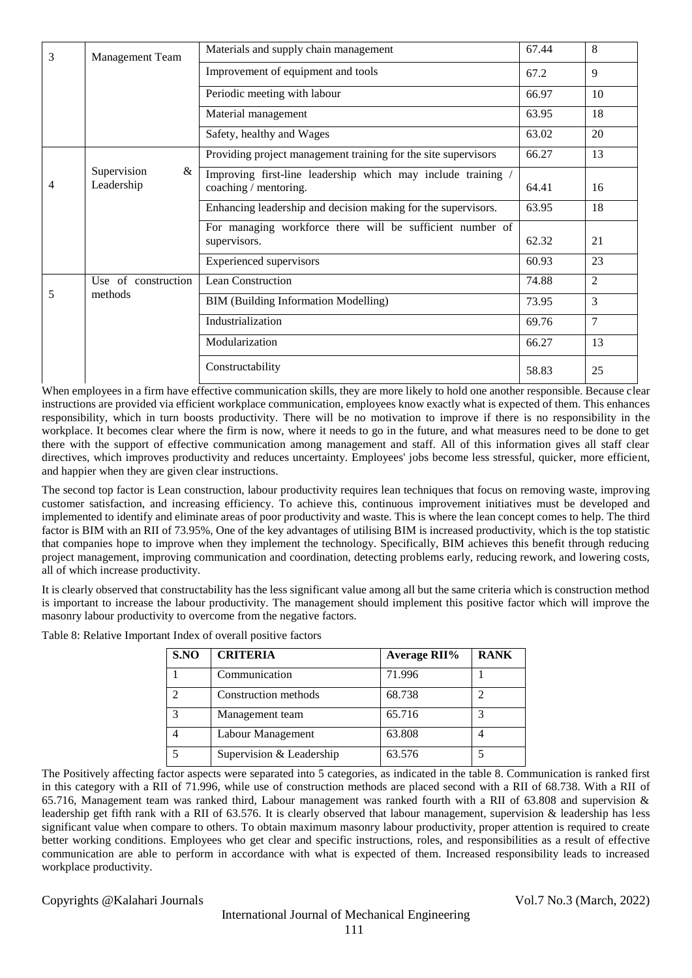| 3 | <b>Management Team</b>         | Materials and supply chain management                                                 | 67.44 | 8              |
|---|--------------------------------|---------------------------------------------------------------------------------------|-------|----------------|
|   |                                | Improvement of equipment and tools                                                    | 67.2  | 9              |
|   |                                | Periodic meeting with labour                                                          | 66.97 | 10             |
|   |                                | Material management                                                                   | 63.95 | 18             |
|   |                                | Safety, healthy and Wages                                                             | 63.02 | 20             |
|   |                                | Providing project management training for the site supervisors                        | 66.27 | 13             |
| 4 | Supervision<br>&<br>Leadership | Improving first-line leadership which may include training /<br>coaching / mentoring. | 64.41 | 16             |
|   |                                | Enhancing leadership and decision making for the supervisors.                         | 63.95 | 18             |
|   |                                | For managing workforce there will be sufficient number of                             |       |                |
|   |                                | supervisors.                                                                          | 62.32 | 21             |
|   |                                | <b>Experienced</b> supervisors                                                        | 60.93 | 23             |
|   | Use of construction            | Lean Construction                                                                     | 74.88 | $\overline{2}$ |
| 5 | methods                        | BIM (Building Information Modelling)                                                  | 73.95 | 3              |
|   |                                | Industrialization                                                                     | 69.76 | 7              |
|   |                                | Modularization                                                                        | 66.27 | 13             |
|   |                                | Constructability                                                                      | 58.83 | 25             |

When employees in a firm have effective communication skills, they are more likely to hold one another responsible. Because clear instructions are provided via efficient workplace communication, employees know exactly what is expected of them. This enhances responsibility, which in turn boosts productivity. There will be no motivation to improve if there is no responsibility in the workplace. It becomes clear where the firm is now, where it needs to go in the future, and what measures need to be done to get there with the support of effective communication among management and staff. All of this information gives all staff clear directives, which improves productivity and reduces uncertainty. Employees' jobs become less stressful, quicker, more efficient, and happier when they are given clear instructions.

The second top factor is Lean construction, labour productivity requires lean techniques that focus on removing waste, improving customer satisfaction, and increasing efficiency. To achieve this, continuous improvement initiatives must be developed and implemented to identify and eliminate areas of poor productivity and waste. This is where the lean concept comes to help. The third factor is BIM with an RII of 73.95%, One of the key advantages of utilising BIM is increased productivity, which is the top statistic that companies hope to improve when they implement the technology. Specifically, BIM achieves this benefit through reducing project management, improving communication and coordination, detecting problems early, reducing rework, and lowering costs, all of which increase productivity.

It is clearly observed that constructability has the less significant value among all but the same criteria which is construction method is important to increase the labour productivity. The management should implement this positive factor which will improve the masonry labour productivity to overcome from the negative factors.

| Table 8: Relative Important Index of overall positive factors |  |  |
|---------------------------------------------------------------|--|--|
|                                                               |  |  |

| S.NO | <b>CRITERIA</b>          | <b>Average RII%</b> | <b>RANK</b> |
|------|--------------------------|---------------------|-------------|
|      | Communication            | 71.996              |             |
|      | Construction methods     | 68.738              |             |
| 3    | Management team          | 65.716              |             |
|      | Labour Management        | 63.808              |             |
|      | Supervision & Leadership | 63.576              |             |

The Positively affecting factor aspects were separated into 5 categories, as indicated in the table 8. Communication is ranked first in this category with a RII of 71.996, while use of construction methods are placed second with a RII of 68.738. With a RII of 65.716, Management team was ranked third, Labour management was ranked fourth with a RII of 63.808 and supervision & leadership get fifth rank with a RII of 63.576. It is clearly observed that labour management, supervision & leadership has less significant value when compare to others. To obtain maximum masonry labour productivity, proper attention is required to create better working conditions. Employees who get clear and specific instructions, roles, and responsibilities as a result of effective communication are able to perform in accordance with what is expected of them. Increased responsibility leads to increased workplace productivity.

Copyrights @Kalahari Journals Vol.7 No.3 (March, 2022)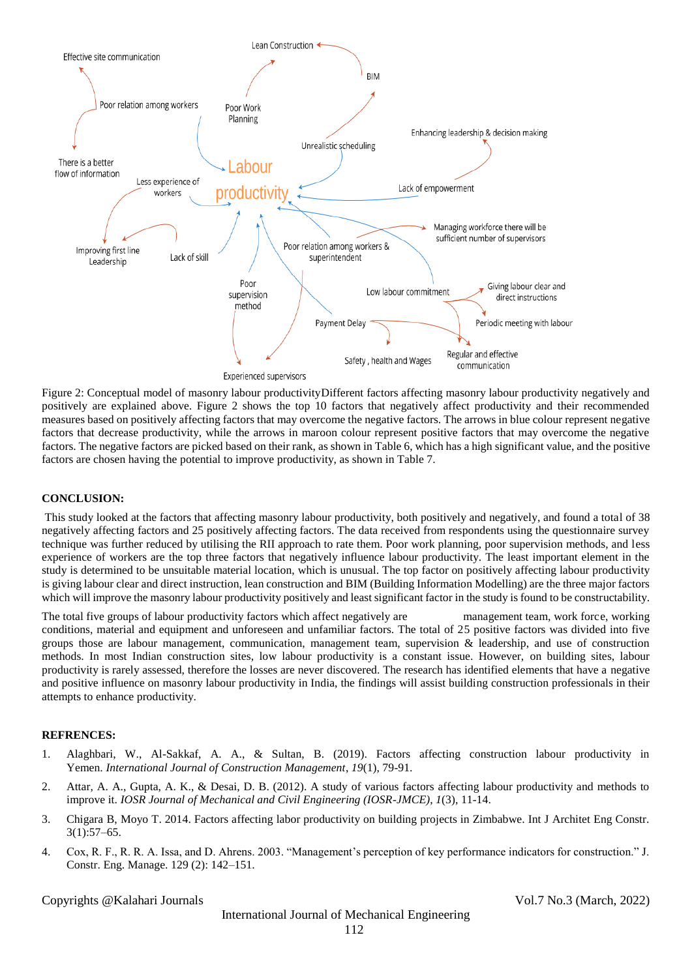

Figure 2: Conceptual model of masonry labour productivityDifferent factors affecting masonry labour productivity negatively and positively are explained above. Figure 2 shows the top 10 factors that negatively affect productivity and their recommended measures based on positively affecting factors that may overcome the negative factors. The arrows in blue colour represent negative factors that decrease productivity, while the arrows in maroon colour represent positive factors that may overcome the negative factors. The negative factors are picked based on their rank, as shown in Table 6, which has a high significant value, and the positive factors are chosen having the potential to improve productivity, as shown in Table 7.

#### **CONCLUSION:**

This study looked at the factors that affecting masonry labour productivity, both positively and negatively, and found a total of 38 negatively affecting factors and 25 positively affecting factors. The data received from respondents using the questionnaire survey technique was further reduced by utilising the RII approach to rate them. Poor work planning, poor supervision methods, and less experience of workers are the top three factors that negatively influence labour productivity. The least important element in the study is determined to be unsuitable material location, which is unusual. The top factor on positively affecting labour productivity is giving labour clear and direct instruction, lean construction and BIM (Building Information Modelling) are the three major factors which will improve the masonry labour productivity positively and least significant factor in the study is found to be constructability.

The total five groups of labour productivity factors which affect negatively are management team, work force, working conditions, material and equipment and unforeseen and unfamiliar factors. The total of 25 positive factors was divided into five groups those are labour management, communication, management team, supervision & leadership, and use of construction methods. In most Indian construction sites, low labour productivity is a constant issue. However, on building sites, labour productivity is rarely assessed, therefore the losses are never discovered. The research has identified elements that have a negative and positive influence on masonry labour productivity in India, the findings will assist building construction professionals in their attempts to enhance productivity.

#### **REFRENCES:**

- 1. Alaghbari, W., Al-Sakkaf, A. A., & Sultan, B. (2019). Factors affecting construction labour productivity in Yemen. *International Journal of Construction Management*, *19*(1), 79-91.
- 2. Attar, A. A., Gupta, A. K., & Desai, D. B. (2012). A study of various factors affecting labour productivity and methods to improve it. *IOSR Journal of Mechanical and Civil Engineering (IOSR-JMCE)*, *1*(3), 11-14.
- 3. Chigara B, Moyo T. 2014. Factors affecting labor productivity on building projects in Zimbabwe. Int J Architet Eng Constr. 3(1):57–65.
- 4. Cox, R. F., R. R. A. Issa, and D. Ahrens. 2003. "Management's perception of key performance indicators for construction." J. Constr. Eng. Manage. 129 (2): 142–151.

Copyrights @Kalahari Journals Vol.7 No.3 (March, 2022)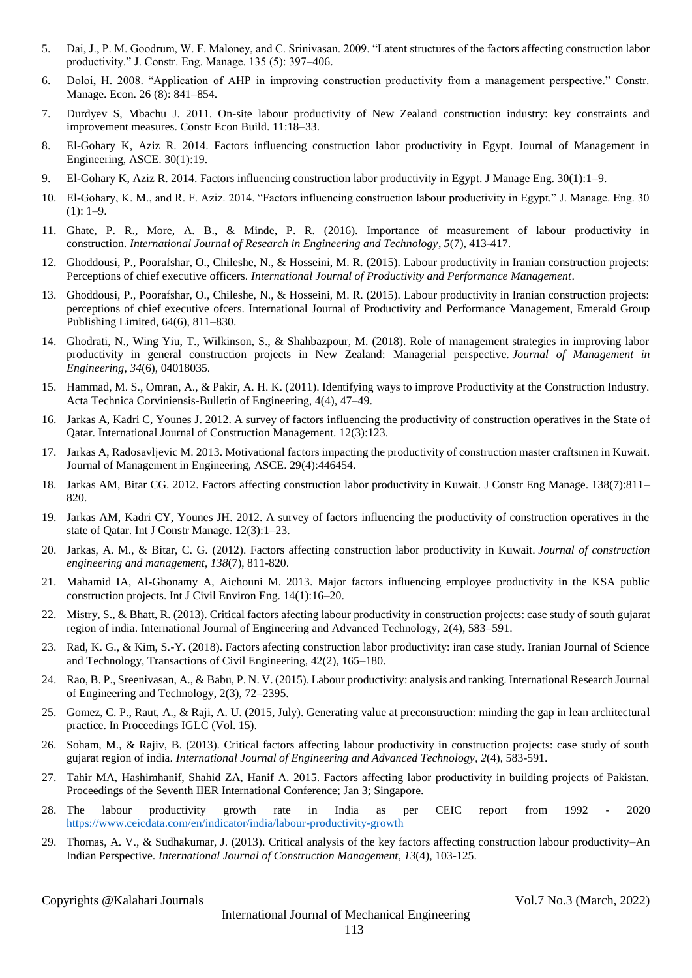- 5. Dai, J., P. M. Goodrum, W. F. Maloney, and C. Srinivasan. 2009. "Latent structures of the factors affecting construction labor productivity." J. Constr. Eng. Manage. 135 (5): 397–406.
- 6. Doloi, H. 2008. "Application of AHP in improving construction productivity from a management perspective." Constr. Manage. Econ. 26 (8): 841–854.
- 7. Durdyev S, Mbachu J. 2011. On-site labour productivity of New Zealand construction industry: key constraints and improvement measures. Constr Econ Build. 11:18–33.
- 8. El-Gohary K, Aziz R. 2014. Factors influencing construction labor productivity in Egypt. Journal of Management in Engineering, ASCE. 30(1):19.
- 9. El-Gohary K, Aziz R. 2014. Factors influencing construction labor productivity in Egypt. J Manage Eng. 30(1):1–9.
- 10. El-Gohary, K. M., and R. F. Aziz. 2014. "Factors influencing construction labour productivity in Egypt." J. Manage. Eng. 30  $(1): 1-9.$
- 11. Ghate, P. R., More, A. B., & Minde, P. R. (2016). Importance of measurement of labour productivity in construction. *International Journal of Research in Engineering and Technology*, *5*(7), 413-417.
- 12. Ghoddousi, P., Poorafshar, O., Chileshe, N., & Hosseini, M. R. (2015). Labour productivity in Iranian construction projects: Perceptions of chief executive officers. *International Journal of Productivity and Performance Management*.
- 13. Ghoddousi, P., Poorafshar, O., Chileshe, N., & Hosseini, M. R. (2015). Labour productivity in Iranian construction projects: perceptions of chief executive ofcers. International Journal of Productivity and Performance Management, Emerald Group Publishing Limited, 64(6), 811–830.
- 14. Ghodrati, N., Wing Yiu, T., Wilkinson, S., & Shahbazpour, M. (2018). Role of management strategies in improving labor productivity in general construction projects in New Zealand: Managerial perspective. *Journal of Management in Engineering*, *34*(6), 04018035.
- 15. Hammad, M. S., Omran, A., & Pakir, A. H. K. (2011). Identifying ways to improve Productivity at the Construction Industry. Acta Technica Corviniensis-Bulletin of Engineering, 4(4), 47–49.
- 16. Jarkas A, Kadri C, Younes J. 2012. A survey of factors influencing the productivity of construction operatives in the State of Qatar. International Journal of Construction Management. 12(3):123.
- 17. Jarkas A, Radosavljevic M. 2013. Motivational factors impacting the productivity of construction master craftsmen in Kuwait. Journal of Management in Engineering, ASCE. 29(4):446454.
- 18. Jarkas AM, Bitar CG. 2012. Factors affecting construction labor productivity in Kuwait. J Constr Eng Manage. 138(7):811– 820.
- 19. Jarkas AM, Kadri CY, Younes JH. 2012. A survey of factors influencing the productivity of construction operatives in the state of Qatar. Int J Constr Manage. 12(3):1–23.
- 20. Jarkas, A. M., & Bitar, C. G. (2012). Factors affecting construction labor productivity in Kuwait. *Journal of construction engineering and management*, *138*(7), 811-820.
- 21. Mahamid IA, Al-Ghonamy A, Aichouni M. 2013. Major factors influencing employee productivity in the KSA public construction projects. Int J Civil Environ Eng. 14(1):16–20.
- 22. Mistry, S., & Bhatt, R. (2013). Critical factors afecting labour productivity in construction projects: case study of south gujarat region of india. International Journal of Engineering and Advanced Technology, 2(4), 583–591.
- 23. Rad, K. G., & Kim, S.-Y. (2018). Factors afecting construction labor productivity: iran case study. Iranian Journal of Science and Technology, Transactions of Civil Engineering, 42(2), 165–180.
- 24. Rao, B. P., Sreenivasan, A., & Babu, P. N. V. (2015). Labour productivity: analysis and ranking. International Research Journal of Engineering and Technology, 2(3), 72–2395.
- 25. Gomez, C. P., Raut, A., & Raji, A. U. (2015, July). Generating value at preconstruction: minding the gap in lean architectural practice. In Proceedings IGLC (Vol. 15).
- 26. Soham, M., & Rajiv, B. (2013). Critical factors affecting labour productivity in construction projects: case study of south gujarat region of india. *International Journal of Engineering and Advanced Technology*, *2*(4), 583-591.
- 27. Tahir MA, Hashimhanif, Shahid ZA, Hanif A. 2015. Factors affecting labor productivity in building projects of Pakistan. Proceedings of the Seventh IIER International Conference; Jan 3; Singapore.
- 28. The labour productivity growth rate in India as per CEIC report from 1992 2020 <https://www.ceicdata.com/en/indicator/india/labour-productivity-growth>
- 29. Thomas, A. V., & Sudhakumar, J. (2013). Critical analysis of the key factors affecting construction labour productivity–An Indian Perspective. *International Journal of Construction Management*, *13*(4), 103-125.